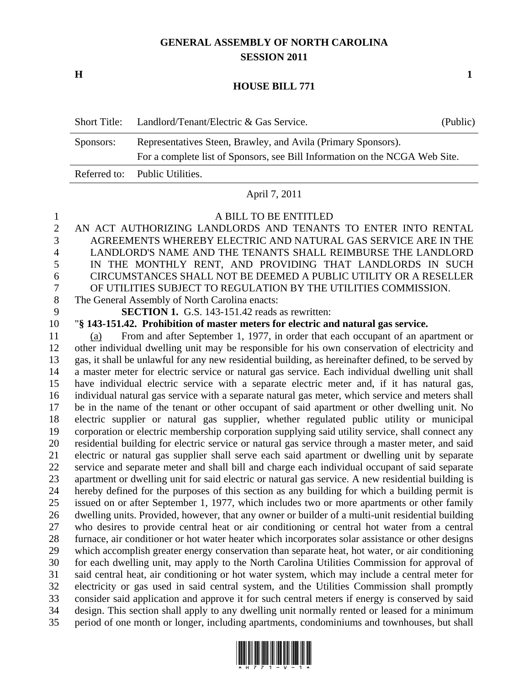# **GENERAL ASSEMBLY OF NORTH CAROLINA SESSION 2011**

**H 1**

### **HOUSE BILL 771**

| Short Title: | Landlord/Tenant/Electric & Gas Service.                                     | (Public) |  |
|--------------|-----------------------------------------------------------------------------|----------|--|
| Sponsors:    | Representatives Steen, Brawley, and Avila (Primary Sponsors).               |          |  |
|              | For a complete list of Sponsors, see Bill Information on the NCGA Web Site. |          |  |
|              | Referred to: Public Utilities.                                              |          |  |

### April 7, 2011

#### A BILL TO BE ENTITLED

 AN ACT AUTHORIZING LANDLORDS AND TENANTS TO ENTER INTO RENTAL AGREEMENTS WHEREBY ELECTRIC AND NATURAL GAS SERVICE ARE IN THE LANDLORD'S NAME AND THE TENANTS SHALL REIMBURSE THE LANDLORD IN THE MONTHLY RENT, AND PROVIDING THAT LANDLORDS IN SUCH CIRCUMSTANCES SHALL NOT BE DEEMED A PUBLIC UTILITY OR A RESELLER OF UTILITIES SUBJECT TO REGULATION BY THE UTILITIES COMMISSION. The General Assembly of North Carolina enacts: **SECTION 1.** G.S. 143-151.42 reads as rewritten: "**§ 143-151.42. Prohibition of master meters for electric and natural gas service.** (a) From and after September 1, 1977, in order that each occupant of an apartment or other individual dwelling unit may be responsible for his own conservation of electricity and gas, it shall be unlawful for any new residential building, as hereinafter defined, to be served by a master meter for electric service or natural gas service. Each individual dwelling unit shall have individual electric service with a separate electric meter and, if it has natural gas, individual natural gas service with a separate natural gas meter, which service and meters shall be in the name of the tenant or other occupant of said apartment or other dwelling unit. No electric supplier or natural gas supplier, whether regulated public utility or municipal corporation or electric membership corporation supplying said utility service, shall connect any residential building for electric service or natural gas service through a master meter, and said electric or natural gas supplier shall serve each said apartment or dwelling unit by separate service and separate meter and shall bill and charge each individual occupant of said separate apartment or dwelling unit for said electric or natural gas service. A new residential building is hereby defined for the purposes of this section as any building for which a building permit is issued on or after September 1, 1977, which includes two or more apartments or other family dwelling units. Provided, however, that any owner or builder of a multi-unit residential building who desires to provide central heat or air conditioning or central hot water from a central furnace, air conditioner or hot water heater which incorporates solar assistance or other designs which accomplish greater energy conservation than separate heat, hot water, or air conditioning for each dwelling unit, may apply to the North Carolina Utilities Commission for approval of said central heat, air conditioning or hot water system, which may include a central meter for electricity or gas used in said central system, and the Utilities Commission shall promptly consider said application and approve it for such central meters if energy is conserved by said design. This section shall apply to any dwelling unit normally rented or leased for a minimum period of one month or longer, including apartments, condominiums and townhouses, but shall

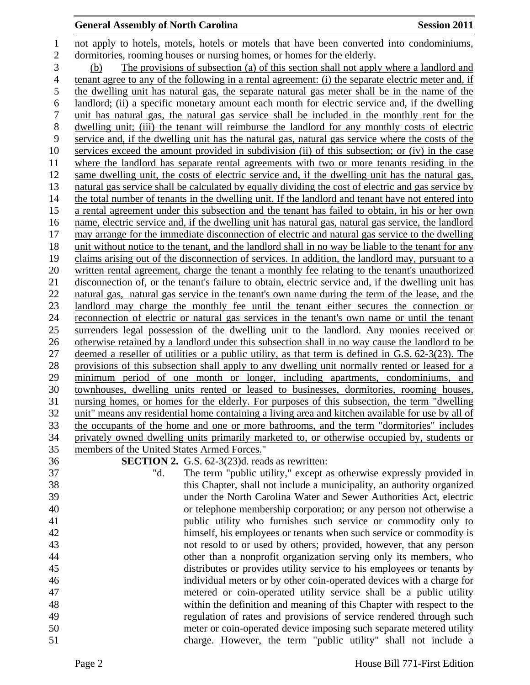## **General Assembly of North Carolina Session 2011**

 not apply to hotels, motels, hotels or motels that have been converted into condominiums, dormitories, rooming houses or nursing homes, or homes for the elderly. (b) The provisions of subsection (a) of this section shall not apply where a landlord and tenant agree to any of the following in a rental agreement: (i) the separate electric meter and, if the dwelling unit has natural gas, the separate natural gas meter shall be in the name of the landlord; (ii) a specific monetary amount each month for electric service and, if the dwelling unit has natural gas, the natural gas service shall be included in the monthly rent for the dwelling unit; (iii) the tenant will reimburse the landlord for any monthly costs of electric service and, if the dwelling unit has the natural gas, natural gas service where the costs of the services exceed the amount provided in subdivision (ii) of this subsection; or (iv) in the case where the landlord has separate rental agreements with two or more tenants residing in the same dwelling unit, the costs of electric service and, if the dwelling unit has the natural gas, natural gas service shall be calculated by equally dividing the cost of electric and gas service by the total number of tenants in the dwelling unit. If the landlord and tenant have not entered into a rental agreement under this subsection and the tenant has failed to obtain, in his or her own name, electric service and, if the dwelling unit has natural gas, natural gas service, the landlord may arrange for the immediate disconnection of electric and natural gas service to the dwelling unit without notice to the tenant, and the landlord shall in no way be liable to the tenant for any claims arising out of the disconnection of services. In addition, the landlord may, pursuant to a written rental agreement, charge the tenant a monthly fee relating to the tenant's unauthorized disconnection of, or the tenant's failure to obtain, electric service and, if the dwelling unit has natural gas, natural gas service in the tenant's own name during the term of the lease, and the landlord may charge the monthly fee until the tenant either secures the connection or reconnection of electric or natural gas services in the tenant's own name or until the tenant surrenders legal possession of the dwelling unit to the landlord. Any monies received or otherwise retained by a landlord under this subsection shall in no way cause the landlord to be deemed a reseller of utilities or a public utility, as that term is defined in G.S. 62-3(23). The provisions of this subsection shall apply to any dwelling unit normally rented or leased for a minimum period of one month or longer, including apartments, condominiums, and townhouses, dwelling units rented or leased to businesses, dormitories, rooming houses, nursing homes, or homes for the elderly. For purposes of this subsection, the term "dwelling unit" means any residential home containing a living area and kitchen available for use by all of the occupants of the home and one or more bathrooms, and the term "dormitories" includes privately owned dwelling units primarily marketed to, or otherwise occupied by, students or members of the United States Armed Forces." **SECTION 2.** G.S. 62-3(23)d. reads as rewritten: "d. The term "public utility," except as otherwise expressly provided in this Chapter, shall not include a municipality, an authority organized under the North Carolina Water and Sewer Authorities Act, electric or telephone membership corporation; or any person not otherwise a public utility who furnishes such service or commodity only to himself, his employees or tenants when such service or commodity is not resold to or used by others; provided, however, that any person other than a nonprofit organization serving only its members, who distributes or provides utility service to his employees or tenants by individual meters or by other coin-operated devices with a charge for metered or coin-operated utility service shall be a public utility within the definition and meaning of this Chapter with respect to the regulation of rates and provisions of service rendered through such

 meter or coin-operated device imposing such separate metered utility charge. However, the term "public utility" shall not include a